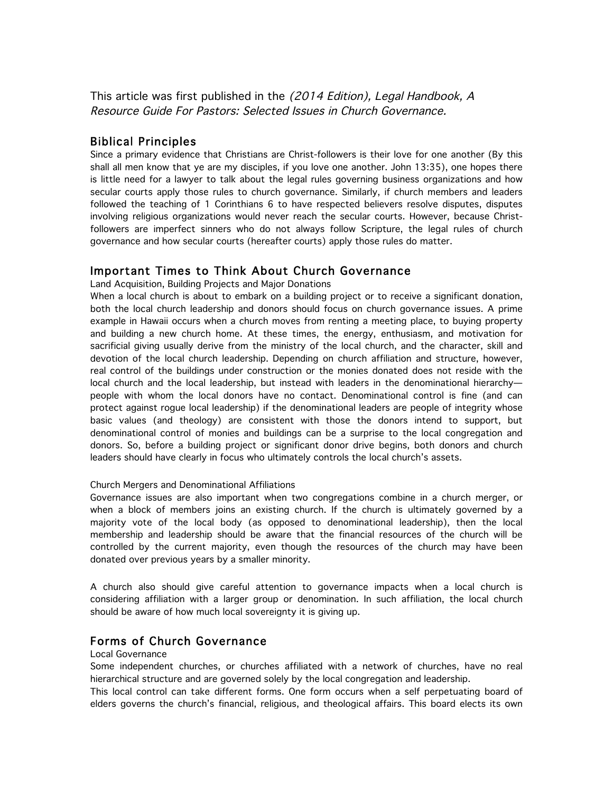This article was first published in the (2014 Edition), Legal Handbook, A Resource Guide For Pastors: Selected Issues in Church Governance.

## Biblical Principles

Since a primary evidence that Christians are Christ-followers is their love for one another (By this shall all men know that ye are my disciples, if you love one another. John 13:35), one hopes there is little need for a lawyer to talk about the legal rules governing business organizations and how secular courts apply those rules to church governance. Similarly, if church members and leaders followed the teaching of 1 Corinthians 6 to have respected believers resolve disputes, disputes involving religious organizations would never reach the secular courts. However, because Christfollowers are imperfect sinners who do not always follow Scripture, the legal rules of church governance and how secular courts (hereafter courts) apply those rules do matter.

## Important Times to Think About Church Governance

Land Acquisition, Building Projects and Major Donations

When a local church is about to embark on a building project or to receive a significant donation, both the local church leadership and donors should focus on church governance issues. A prime example in Hawaii occurs when a church moves from renting a meeting place, to buying property and building a new church home. At these times, the energy, enthusiasm, and motivation for sacrificial giving usually derive from the ministry of the local church, and the character, skill and devotion of the local church leadership. Depending on church affiliation and structure, however, real control of the buildings under construction or the monies donated does not reside with the local church and the local leadership, but instead with leaders in the denominational hierarchy people with whom the local donors have no contact. Denominational control is fine (and can protect against rogue local leadership) if the denominational leaders are people of integrity whose basic values (and theology) are consistent with those the donors intend to support, but denominational control of monies and buildings can be a surprise to the local congregation and donors. So, before a building project or significant donor drive begins, both donors and church leaders should have clearly in focus who ultimately controls the local church's assets.

#### Church Mergers and Denominational Affiliations

Governance issues are also important when two congregations combine in a church merger, or when a block of members joins an existing church. If the church is ultimately governed by a majority vote of the local body (as opposed to denominational leadership), then the local membership and leadership should be aware that the financial resources of the church will be controlled by the current majority, even though the resources of the church may have been donated over previous years by a smaller minority.

A church also should give careful attention to governance impacts when a local church is considering affiliation with a larger group or denomination. In such affiliation, the local church should be aware of how much local sovereignty it is giving up.

# Forms of Church Governance

#### Local Governance

Some independent churches, or churches affiliated with a network of churches, have no real hierarchical structure and are governed solely by the local congregation and leadership.

This local control can take different forms. One form occurs when a self perpetuating board of elders governs the church's financial, religious, and theological affairs. This board elects its own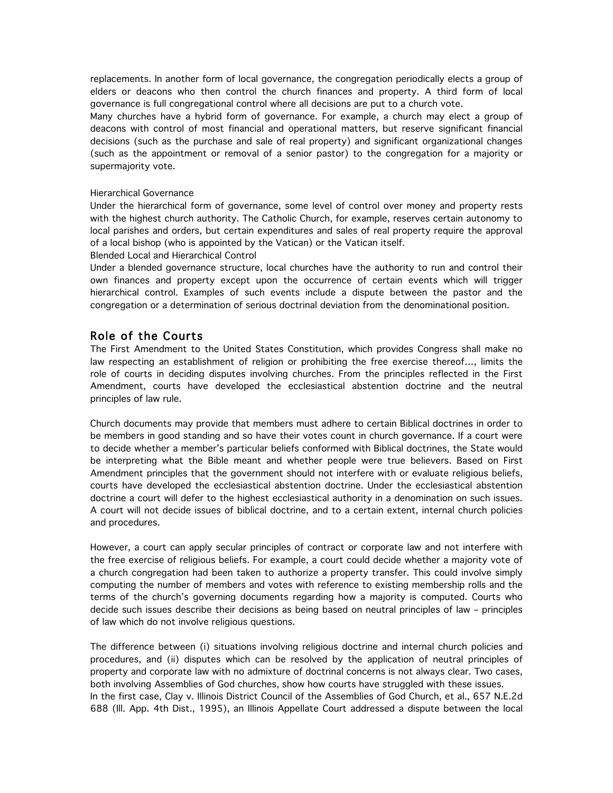replacements. In another form of local governance, the congregation periodically elects a group of elders or deacons who then control the church finances and property. A third form of local governance is full congregational control where all decisions are put to a church vote.

Many churches have a hybrid form of governance. For example, a church may elect a group of deacons with control of most financial and operational matters, but reserve significant financial decisions (such as the purchase and sale of real property) and significant organizational changes (such as the appointment or removal of a senior pastor) to the congregation for a majority or supermajority vote.

#### Hierarchical Governance

Under the hierarchical form of governance, some level of control over money and property rests with the highest church authority. The Catholic Church, for example, reserves certain autonomy to local parishes and orders, but certain expenditures and sales of real property require the approval of a local bishop (who is appointed by the Vatican) or the Vatican itself.

Blended Local and Hierarchical Control

Under a blended governance structure, local churches have the authority to run and control their own finances and property except upon the occurrence of certain events which will trigger hierarchical control. Examples of such events include a dispute between the pastor and the congregation or a determination of serious doctrinal deviation from the denominational position.

## Role of the Courts

The First Amendment to the United States Constitution, which provides Congress shall make no law respecting an establishment of religion or prohibiting the free exercise thereof…, limits the role of courts in deciding disputes involving churches. From the principles reflected in the First Amendment, courts have developed the ecclesiastical abstention doctrine and the neutral principles of law rule.

Church documents may provide that members must adhere to certain Biblical doctrines in order to be members in good standing and so have their votes count in church governance. If a court were to decide whether a member's particular beliefs conformed with Biblical doctrines, the State would be interpreting what the Bible meant and whether people were true believers. Based on First Amendment principles that the government should not interfere with or evaluate religious beliefs, courts have developed the ecclesiastical abstention doctrine. Under the ecclesiastical abstention doctrine a court will defer to the highest ecclesiastical authority in a denomination on such issues. A court will not decide issues of biblical doctrine, and to a certain extent, internal church policies and procedures.

However, a court can apply secular principles of contract or corporate law and not interfere with the free exercise of religious beliefs. For example, a court could decide whether a majority vote of a church congregation had been taken to authorize a property transfer. This could involve simply computing the number of members and votes with reference to existing membership rolls and the terms of the church's governing documents regarding how a majority is computed. Courts who decide such issues describe their decisions as being based on neutral principles of law – principles of law which do not involve religious questions.

The difference between (i) situations involving religious doctrine and internal church policies and procedures, and (ii) disputes which can be resolved by the application of neutral principles of property and corporate law with no admixture of doctrinal concerns is not always clear. Two cases, both involving Assemblies of God churches, show how courts have struggled with these issues. In the first case, Clay v. Illinois District Council of the Assemblies of God Church, et al., 657 N.E.2d 688 (Ill. App. 4th Dist., 1995), an Illinois Appellate Court addressed a dispute between the local